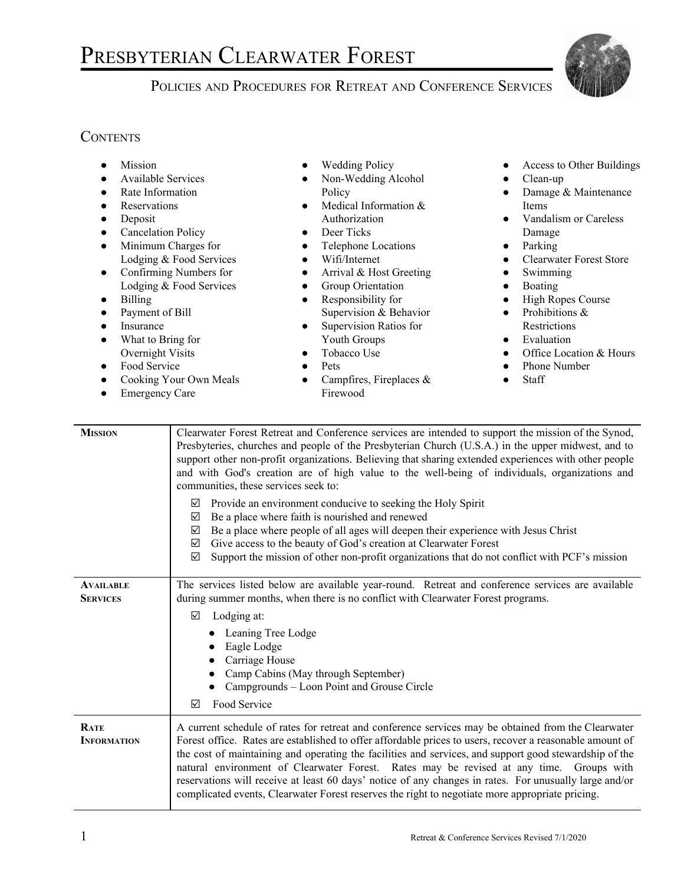## PRESBYTERIAN CLEARWATER FOREST

## POLICIES AND PROCEDURES FOR RETREAT AND CONFERENCE SERVICES



## **CONTENTS**

| Mission<br>$\bullet$<br>Available Services<br>Rate Information<br>$\bullet$<br>Reservations<br>$\bullet$<br>Deposit<br>$\bullet$<br><b>Cancelation Policy</b><br>$\bullet$<br>Minimum Charges for<br>$\bullet$<br>Lodging & Food Services<br>Confirming Numbers for<br>$\bullet$<br>Lodging & Food Services<br><b>Billing</b><br>$\bullet$<br>Payment of Bill<br>$\bullet$<br>Insurance<br>$\bullet$<br>What to Bring for<br>$\bullet$<br>Overnight Visits<br>Food Service<br>$\bullet$<br>Cooking Your Own Meals<br>$\bullet$<br><b>Emergency Care</b><br>$\bullet$ |                                                                                                                                                                                                                                                                                                                                                                                                                                                                                                                                                                                                                                                                                                                                                                                                                                                                   | <b>Wedding Policy</b><br>Non-Wedding Alcohol<br>Policy<br>Medical Information &<br>$\bullet$<br>Authorization<br>Deer Ticks<br>$\bullet$<br>Telephone Locations<br>$\bullet$<br>Wifi/Internet<br>$\bullet$<br>Arrival & Host Greeting<br>$\bullet$<br>Group Orientation<br>$\bullet$<br>Responsibility for<br>$\bullet$<br>Supervision & Behavior<br>Supervision Ratios for<br>$\bullet$<br>Youth Groups<br>Tobacco Use<br>$\bullet$<br>Pets<br>$\bullet$<br>Campfires, Fireplaces &<br>$\bullet$<br>Firewood                                                                                                                     | Access to Other Buildings<br>Clean-up<br>Damage & Maintenance<br>Items<br>Vandalism or Careless<br>$\bullet$<br>Damage<br>Parking<br>$\bullet$<br><b>Clearwater Forest Store</b><br>Swimming<br>Boating<br>$\bullet$<br><b>High Ropes Course</b><br>Prohibitions &<br>$\bullet$<br>Restrictions<br>Evaluation<br>$\bullet$<br>Office Location & Hours<br>Phone Number<br>Staff |
|----------------------------------------------------------------------------------------------------------------------------------------------------------------------------------------------------------------------------------------------------------------------------------------------------------------------------------------------------------------------------------------------------------------------------------------------------------------------------------------------------------------------------------------------------------------------|-------------------------------------------------------------------------------------------------------------------------------------------------------------------------------------------------------------------------------------------------------------------------------------------------------------------------------------------------------------------------------------------------------------------------------------------------------------------------------------------------------------------------------------------------------------------------------------------------------------------------------------------------------------------------------------------------------------------------------------------------------------------------------------------------------------------------------------------------------------------|-----------------------------------------------------------------------------------------------------------------------------------------------------------------------------------------------------------------------------------------------------------------------------------------------------------------------------------------------------------------------------------------------------------------------------------------------------------------------------------------------------------------------------------------------------------------------------------------------------------------------------------|--------------------------------------------------------------------------------------------------------------------------------------------------------------------------------------------------------------------------------------------------------------------------------------------------------------------------------------------------------------------------------|
| <b>MISSION</b>                                                                                                                                                                                                                                                                                                                                                                                                                                                                                                                                                       | Clearwater Forest Retreat and Conference services are intended to support the mission of the Synod,<br>Presbyteries, churches and people of the Presbyterian Church (U.S.A.) in the upper midwest, and to<br>support other non-profit organizations. Believing that sharing extended experiences with other people<br>and with God's creation are of high value to the well-being of individuals, organizations and<br>communities, these services seek to:<br>Provide an environment conducive to seeking the Holy Spirit<br>☑<br>Be a place where faith is nourished and renewed<br>☑<br>Be a place where people of all ages will deepen their experience with Jesus Christ<br>☑<br>Give access to the beauty of God's creation at Clearwater Forest<br>☑<br>Support the mission of other non-profit organizations that do not conflict with PCF's mission<br>☑ |                                                                                                                                                                                                                                                                                                                                                                                                                                                                                                                                                                                                                                   |                                                                                                                                                                                                                                                                                                                                                                                |
| <b>AVAILABLE</b><br><b>SERVICES</b>                                                                                                                                                                                                                                                                                                                                                                                                                                                                                                                                  | The services listed below are available year-round. Retreat and conference services are available<br>during summer months, when there is no conflict with Clearwater Forest programs.<br>☑<br>Lodging at:<br>Leaning Tree Lodge<br>Eagle Lodge<br>Carriage House<br>Camp Cabins (May through September)<br>Campgrounds - Loon Point and Grouse Circle<br>Food Service<br>☑                                                                                                                                                                                                                                                                                                                                                                                                                                                                                        |                                                                                                                                                                                                                                                                                                                                                                                                                                                                                                                                                                                                                                   |                                                                                                                                                                                                                                                                                                                                                                                |
| RATE<br><b>INFORMATION</b>                                                                                                                                                                                                                                                                                                                                                                                                                                                                                                                                           |                                                                                                                                                                                                                                                                                                                                                                                                                                                                                                                                                                                                                                                                                                                                                                                                                                                                   | A current schedule of rates for retreat and conference services may be obtained from the Clearwater<br>Forest office. Rates are established to offer affordable prices to users, recover a reasonable amount of<br>the cost of maintaining and operating the facilities and services, and support good stewardship of the<br>natural environment of Clearwater Forest. Rates may be revised at any time. Groups with<br>reservations will receive at least 60 days' notice of any changes in rates. For unusually large and/or<br>complicated events, Clearwater Forest reserves the right to negotiate more appropriate pricing. |                                                                                                                                                                                                                                                                                                                                                                                |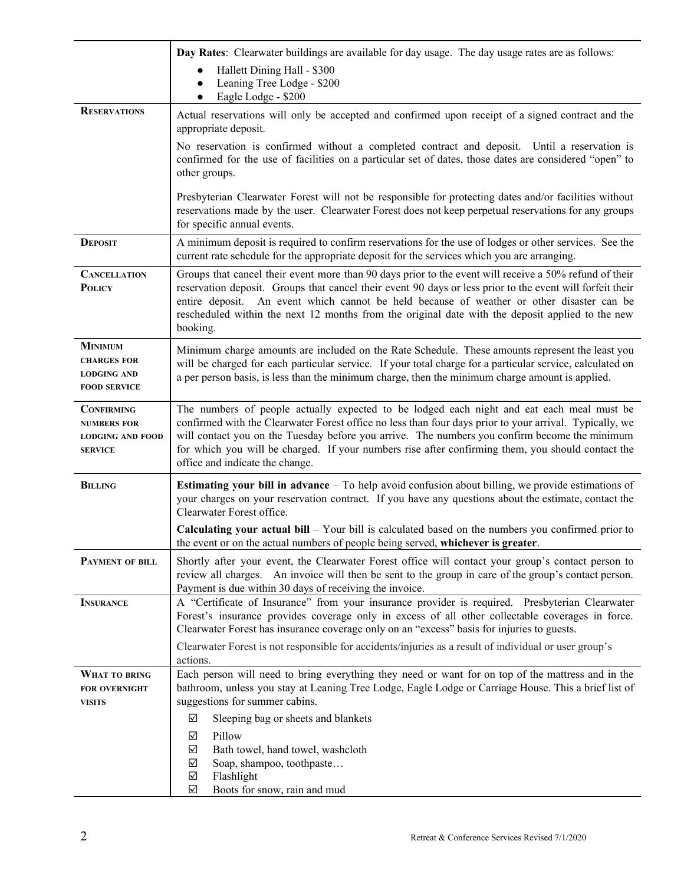|                                                                                      | Day Rates: Clearwater buildings are available for day usage. The day usage rates are as follows:                                                                                                                                                                                                                                                                                                                                              |  |
|--------------------------------------------------------------------------------------|-----------------------------------------------------------------------------------------------------------------------------------------------------------------------------------------------------------------------------------------------------------------------------------------------------------------------------------------------------------------------------------------------------------------------------------------------|--|
|                                                                                      | Hallett Dining Hall - \$300<br>$\bullet$                                                                                                                                                                                                                                                                                                                                                                                                      |  |
|                                                                                      | Leaning Tree Lodge - \$200                                                                                                                                                                                                                                                                                                                                                                                                                    |  |
| <b>RESERVATIONS</b>                                                                  | Eagle Lodge - \$200                                                                                                                                                                                                                                                                                                                                                                                                                           |  |
|                                                                                      | Actual reservations will only be accepted and confirmed upon receipt of a signed contract and the<br>appropriate deposit.                                                                                                                                                                                                                                                                                                                     |  |
|                                                                                      | No reservation is confirmed without a completed contract and deposit. Until a reservation is<br>confirmed for the use of facilities on a particular set of dates, those dates are considered "open" to<br>other groups.                                                                                                                                                                                                                       |  |
|                                                                                      | Presbyterian Clearwater Forest will not be responsible for protecting dates and/or facilities without<br>reservations made by the user. Clearwater Forest does not keep perpetual reservations for any groups<br>for specific annual events.                                                                                                                                                                                                  |  |
| <b>DEPOSIT</b>                                                                       | A minimum deposit is required to confirm reservations for the use of lodges or other services. See the<br>current rate schedule for the appropriate deposit for the services which you are arranging.                                                                                                                                                                                                                                         |  |
| <b>CANCELLATION</b><br><b>POLICY</b>                                                 | Groups that cancel their event more than 90 days prior to the event will receive a 50% refund of their<br>reservation deposit. Groups that cancel their event 90 days or less prior to the event will forfeit their<br>entire deposit. An event which cannot be held because of weather or other disaster can be<br>rescheduled within the next 12 months from the original date with the deposit applied to the new<br>booking.              |  |
| <b>MINIMUM</b><br><b>CHARGES FOR</b><br><b>LODGING AND</b><br><b>FOOD SERVICE</b>    | Minimum charge amounts are included on the Rate Schedule. These amounts represent the least you<br>will be charged for each particular service. If your total charge for a particular service, calculated on<br>a per person basis, is less than the minimum charge, then the minimum charge amount is applied.                                                                                                                               |  |
| <b>CONFIRMING</b><br><b>NUMBERS FOR</b><br><b>LODGING AND FOOD</b><br><b>SERVICE</b> | The numbers of people actually expected to be lodged each night and eat each meal must be<br>confirmed with the Clearwater Forest office no less than four days prior to your arrival. Typically, we<br>will contact you on the Tuesday before you arrive. The numbers you confirm become the minimum<br>for which you will be charged. If your numbers rise after confirming them, you should contact the<br>office and indicate the change. |  |
| <b>BILLING</b>                                                                       | <b>Estimating your bill in advance</b> $-$ To help avoid confusion about billing, we provide estimations of<br>your charges on your reservation contract. If you have any questions about the estimate, contact the<br>Clearwater Forest office.                                                                                                                                                                                              |  |
|                                                                                      | Calculating your actual bill - Your bill is calculated based on the numbers you confirmed prior to<br>the event or on the actual numbers of people being served, whichever is greater.                                                                                                                                                                                                                                                        |  |
| PAYMENT OF BILL                                                                      | Shortly after your event, the Clearwater Forest office will contact your group's contact person to<br>review all charges. An invoice will then be sent to the group in care of the group's contact person.<br>Payment is due within 30 days of receiving the invoice.                                                                                                                                                                         |  |
| <b>INSURANCE</b>                                                                     | A "Certificate of Insurance" from your insurance provider is required. Presbyterian Clearwater<br>Forest's insurance provides coverage only in excess of all other collectable coverages in force.<br>Clearwater Forest has insurance coverage only on an "excess" basis for injuries to guests.                                                                                                                                              |  |
|                                                                                      | Clearwater Forest is not responsible for accidents/injuries as a result of individual or user group's<br>actions.                                                                                                                                                                                                                                                                                                                             |  |
| WHAT TO BRING<br><b>FOR OVERNIGHT</b><br><b>VISITS</b>                               | Each person will need to bring everything they need or want for on top of the mattress and in the<br>bathroom, unless you stay at Leaning Tree Lodge, Eagle Lodge or Carriage House. This a brief list of<br>suggestions for summer cabins.                                                                                                                                                                                                   |  |
|                                                                                      | ☑<br>Sleeping bag or sheets and blankets                                                                                                                                                                                                                                                                                                                                                                                                      |  |
|                                                                                      | Pillow<br>☑<br>Bath towel, hand towel, washcloth<br>☑<br>$\blacktriangledown$<br>Soap, shampoo, toothpaste<br>$\triangledown$<br>Flashlight<br>Boots for snow, rain and mud<br>$\blacktriangledown$                                                                                                                                                                                                                                           |  |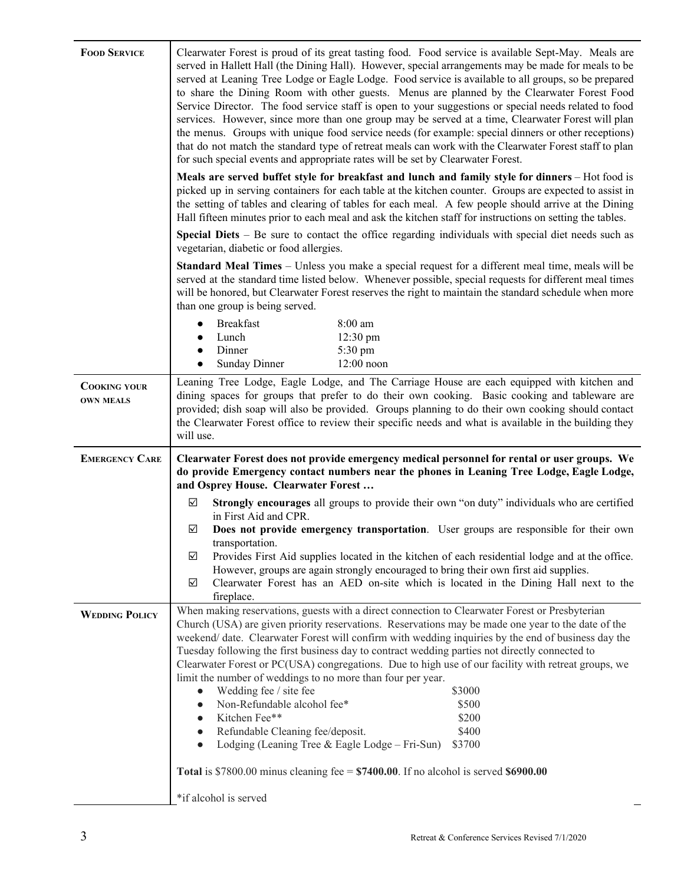| <b>FOOD SERVICE</b>                     | Clearwater Forest is proud of its great tasting food. Food service is available Sept-May. Meals are<br>served in Hallett Hall (the Dining Hall). However, special arrangements may be made for meals to be<br>served at Leaning Tree Lodge or Eagle Lodge. Food service is available to all groups, so be prepared<br>to share the Dining Room with other guests. Menus are planned by the Clearwater Forest Food<br>Service Director. The food service staff is open to your suggestions or special needs related to food<br>services. However, since more than one group may be served at a time, Clearwater Forest will plan<br>the menus. Groups with unique food service needs (for example: special dinners or other receptions)<br>that do not match the standard type of retreat meals can work with the Clearwater Forest staff to plan<br>for such special events and appropriate rates will be set by Clearwater Forest.<br>Meals are served buffet style for breakfast and lunch and family style for dinners - Hot food is<br>picked up in serving containers for each table at the kitchen counter. Groups are expected to assist in<br>the setting of tables and clearing of tables for each meal. A few people should arrive at the Dining<br>Hall fifteen minutes prior to each meal and ask the kitchen staff for instructions on setting the tables.<br><b>Special Diets</b> $-$ Be sure to contact the office regarding individuals with special diet needs such as |  |
|-----------------------------------------|-----------------------------------------------------------------------------------------------------------------------------------------------------------------------------------------------------------------------------------------------------------------------------------------------------------------------------------------------------------------------------------------------------------------------------------------------------------------------------------------------------------------------------------------------------------------------------------------------------------------------------------------------------------------------------------------------------------------------------------------------------------------------------------------------------------------------------------------------------------------------------------------------------------------------------------------------------------------------------------------------------------------------------------------------------------------------------------------------------------------------------------------------------------------------------------------------------------------------------------------------------------------------------------------------------------------------------------------------------------------------------------------------------------------------------------------------------------------------------------------|--|
|                                         | vegetarian, diabetic or food allergies.<br><b>Standard Meal Times</b> – Unless you make a special request for a different meal time, meals will be<br>served at the standard time listed below. Whenever possible, special requests for different meal times<br>will be honored, but Clearwater Forest reserves the right to maintain the standard schedule when more<br>than one group is being served.                                                                                                                                                                                                                                                                                                                                                                                                                                                                                                                                                                                                                                                                                                                                                                                                                                                                                                                                                                                                                                                                                |  |
|                                         | <b>Breakfast</b><br>8:00 am<br>$\bullet$<br>12:30 pm<br>Lunch<br>$\bullet$<br>Dinner<br>5:30 pm<br>$\bullet$<br>12:00 noon<br><b>Sunday Dinner</b><br>$\bullet$                                                                                                                                                                                                                                                                                                                                                                                                                                                                                                                                                                                                                                                                                                                                                                                                                                                                                                                                                                                                                                                                                                                                                                                                                                                                                                                         |  |
| <b>COOKING YOUR</b><br><b>OWN MEALS</b> | Leaning Tree Lodge, Eagle Lodge, and The Carriage House are each equipped with kitchen and<br>dining spaces for groups that prefer to do their own cooking. Basic cooking and tableware are<br>provided; dish soap will also be provided. Groups planning to do their own cooking should contact<br>the Clearwater Forest office to review their specific needs and what is available in the building they<br>will use.                                                                                                                                                                                                                                                                                                                                                                                                                                                                                                                                                                                                                                                                                                                                                                                                                                                                                                                                                                                                                                                                 |  |
| <b>EMERGENCY CARE</b>                   | Clearwater Forest does not provide emergency medical personnel for rental or user groups. We<br>do provide Emergency contact numbers near the phones in Leaning Tree Lodge, Eagle Lodge,<br>and Osprey House. Clearwater Forest                                                                                                                                                                                                                                                                                                                                                                                                                                                                                                                                                                                                                                                                                                                                                                                                                                                                                                                                                                                                                                                                                                                                                                                                                                                         |  |
|                                         | Strongly encourages all groups to provide their own "on duty" individuals who are certified<br>☑<br>in First Aid and CPR.                                                                                                                                                                                                                                                                                                                                                                                                                                                                                                                                                                                                                                                                                                                                                                                                                                                                                                                                                                                                                                                                                                                                                                                                                                                                                                                                                               |  |
|                                         | ☑<br>Does not provide emergency transportation. User groups are responsible for their own<br>transportation.                                                                                                                                                                                                                                                                                                                                                                                                                                                                                                                                                                                                                                                                                                                                                                                                                                                                                                                                                                                                                                                                                                                                                                                                                                                                                                                                                                            |  |
|                                         | Provides First Aid supplies located in the kitchen of each residential lodge and at the office.<br>☑<br>However, groups are again strongly encouraged to bring their own first aid supplies.<br>Clearwater Forest has an AED on-site which is located in the Dining Hall next to the<br>✓<br>fireplace.                                                                                                                                                                                                                                                                                                                                                                                                                                                                                                                                                                                                                                                                                                                                                                                                                                                                                                                                                                                                                                                                                                                                                                                 |  |
| <b>WEDDING POLICY</b>                   | When making reservations, guests with a direct connection to Clearwater Forest or Presbyterian<br>Church (USA) are given priority reservations. Reservations may be made one year to the date of the<br>weekend/ date. Clearwater Forest will confirm with wedding inquiries by the end of business day the<br>Tuesday following the first business day to contract wedding parties not directly connected to<br>Clearwater Forest or PC(USA) congregations. Due to high use of our facility with retreat groups, we<br>limit the number of weddings to no more than four per year.<br>\$3000<br>Wedding fee / site fee<br>$\bullet$<br>Non-Refundable alcohol fee*<br>\$500<br>Kitchen Fee**<br>\$200<br>Refundable Cleaning fee/deposit.<br>\$400<br>$\bullet$<br>\$3700<br>Lodging (Leaning Tree & Eagle Lodge – Fri-Sun)<br>$\bullet$                                                                                                                                                                                                                                                                                                                                                                                                                                                                                                                                                                                                                                               |  |
|                                         | Total is \$7800.00 minus cleaning fee = $$7400.00$ . If no alcohol is served \$6900.00                                                                                                                                                                                                                                                                                                                                                                                                                                                                                                                                                                                                                                                                                                                                                                                                                                                                                                                                                                                                                                                                                                                                                                                                                                                                                                                                                                                                  |  |
|                                         | *if alcohol is served                                                                                                                                                                                                                                                                                                                                                                                                                                                                                                                                                                                                                                                                                                                                                                                                                                                                                                                                                                                                                                                                                                                                                                                                                                                                                                                                                                                                                                                                   |  |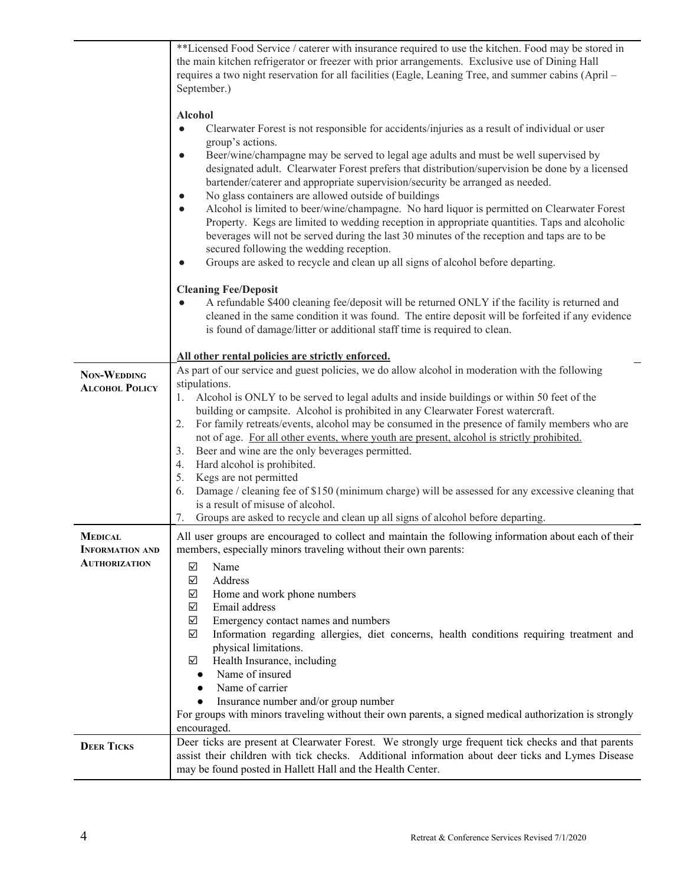|                                          | **Licensed Food Service / caterer with insurance required to use the kitchen. Food may be stored in<br>the main kitchen refrigerator or freezer with prior arrangements. Exclusive use of Dining Hall<br>requires a two night reservation for all facilities (Eagle, Leaning Tree, and summer cabins (April –<br>September.)                                      |
|------------------------------------------|-------------------------------------------------------------------------------------------------------------------------------------------------------------------------------------------------------------------------------------------------------------------------------------------------------------------------------------------------------------------|
|                                          | <b>Alcohol</b><br>Clearwater Forest is not responsible for accidents/injuries as a result of individual or user<br>$\bullet$<br>group's actions.<br>Beer/wine/champagne may be served to legal age adults and must be well supervised by<br>$\bullet$                                                                                                             |
|                                          | designated adult. Clearwater Forest prefers that distribution/supervision be done by a licensed<br>bartender/caterer and appropriate supervision/security be arranged as needed.<br>No glass containers are allowed outside of buildings<br>$\bullet$<br>Alcohol is limited to beer/wine/champagne. No hard liquor is permitted on Clearwater Forest<br>$\bullet$ |
|                                          | Property. Kegs are limited to wedding reception in appropriate quantities. Taps and alcoholic<br>beverages will not be served during the last 30 minutes of the reception and taps are to be<br>secured following the wedding reception.<br>Groups are asked to recycle and clean up all signs of alcohol before departing.<br>$\bullet$                          |
|                                          | <b>Cleaning Fee/Deposit</b><br>A refundable \$400 cleaning fee/deposit will be returned ONLY if the facility is returned and<br>cleaned in the same condition it was found. The entire deposit will be forfeited if any evidence<br>is found of damage/litter or additional staff time is required to clean.                                                      |
|                                          | All other rental policies are strictly enforced.                                                                                                                                                                                                                                                                                                                  |
| NON-WEDDING                              | As part of our service and guest policies, we do allow alcohol in moderation with the following                                                                                                                                                                                                                                                                   |
| <b>ALCOHOL POLICY</b>                    | stipulations.                                                                                                                                                                                                                                                                                                                                                     |
|                                          | Alcohol is ONLY to be served to legal adults and inside buildings or within 50 feet of the<br>1.                                                                                                                                                                                                                                                                  |
|                                          | building or campsite. Alcohol is prohibited in any Clearwater Forest watercraft.<br>For family retreats/events, alcohol may be consumed in the presence of family members who are<br>2.                                                                                                                                                                           |
|                                          | not of age. For all other events, where youth are present, alcohol is strictly prohibited.                                                                                                                                                                                                                                                                        |
|                                          | Beer and wine are the only beverages permitted.<br>3.                                                                                                                                                                                                                                                                                                             |
|                                          | Hard alcohol is prohibited.<br>4.                                                                                                                                                                                                                                                                                                                                 |
|                                          | Kegs are not permitted<br>5.                                                                                                                                                                                                                                                                                                                                      |
|                                          | Damage / cleaning fee of \$150 (minimum charge) will be assessed for any excessive cleaning that<br>6.                                                                                                                                                                                                                                                            |
|                                          | is a result of misuse of alcohol.                                                                                                                                                                                                                                                                                                                                 |
|                                          | Groups are asked to recycle and clean up all signs of alcohol before departing.<br>7.                                                                                                                                                                                                                                                                             |
| <b>MEDICAL</b><br><b>INFORMATION AND</b> | All user groups are encouraged to collect and maintain the following information about each of their<br>members, especially minors traveling without their own parents:                                                                                                                                                                                           |
| <b>AUTHORIZATION</b>                     | ☑<br>Name                                                                                                                                                                                                                                                                                                                                                         |
|                                          | $\triangledown$<br>Address                                                                                                                                                                                                                                                                                                                                        |
|                                          | Home and work phone numbers<br>☑                                                                                                                                                                                                                                                                                                                                  |
|                                          | Email address<br>☑                                                                                                                                                                                                                                                                                                                                                |
|                                          | Emergency contact names and numbers<br>☑<br>☑                                                                                                                                                                                                                                                                                                                     |
|                                          | Information regarding allergies, diet concerns, health conditions requiring treatment and<br>physical limitations.                                                                                                                                                                                                                                                |
|                                          | Health Insurance, including<br>☑                                                                                                                                                                                                                                                                                                                                  |
|                                          | Name of insured                                                                                                                                                                                                                                                                                                                                                   |
|                                          | Name of carrier<br>$\bullet$                                                                                                                                                                                                                                                                                                                                      |
|                                          | Insurance number and/or group number<br>$\bullet$                                                                                                                                                                                                                                                                                                                 |
|                                          | For groups with minors traveling without their own parents, a signed medical authorization is strongly<br>encouraged.                                                                                                                                                                                                                                             |
|                                          | Deer ticks are present at Clearwater Forest. We strongly urge frequent tick checks and that parents                                                                                                                                                                                                                                                               |
| <b>DEER TICKS</b>                        | assist their children with tick checks. Additional information about deer ticks and Lymes Disease<br>may be found posted in Hallett Hall and the Health Center.                                                                                                                                                                                                   |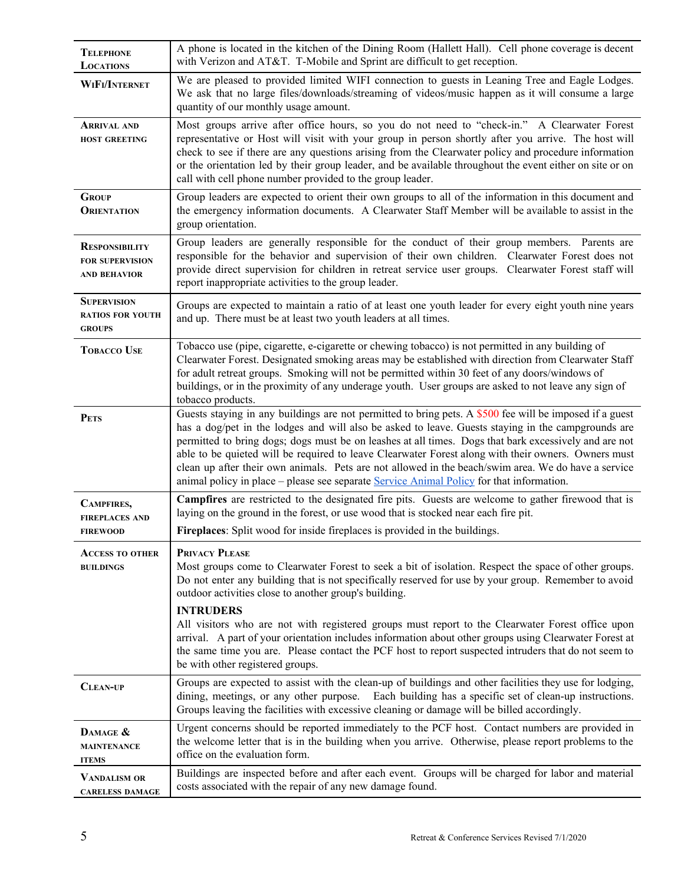| <b>TELEPHONE</b><br><b>LOCATIONS</b>                                   | A phone is located in the kitchen of the Dining Room (Hallett Hall). Cell phone coverage is decent<br>with Verizon and AT&T. T-Mobile and Sprint are difficult to get reception.                                                                                                                                                                                                                                                                                                                                                                                                                                                 |
|------------------------------------------------------------------------|----------------------------------------------------------------------------------------------------------------------------------------------------------------------------------------------------------------------------------------------------------------------------------------------------------------------------------------------------------------------------------------------------------------------------------------------------------------------------------------------------------------------------------------------------------------------------------------------------------------------------------|
| WIFI/INTERNET                                                          | We are pleased to provided limited WIFI connection to guests in Leaning Tree and Eagle Lodges.<br>We ask that no large files/downloads/streaming of videos/music happen as it will consume a large<br>quantity of our monthly usage amount.                                                                                                                                                                                                                                                                                                                                                                                      |
| <b>ARRIVAL AND</b><br><b>HOST GREETING</b>                             | Most groups arrive after office hours, so you do not need to "check-in." A Clearwater Forest<br>representative or Host will visit with your group in person shortly after you arrive. The host will<br>check to see if there are any questions arising from the Clearwater policy and procedure information<br>or the orientation led by their group leader, and be available throughout the event either on site or on<br>call with cell phone number provided to the group leader.                                                                                                                                             |
| <b>GROUP</b><br><b>ORIENTATION</b>                                     | Group leaders are expected to orient their own groups to all of the information in this document and<br>the emergency information documents. A Clearwater Staff Member will be available to assist in the<br>group orientation.                                                                                                                                                                                                                                                                                                                                                                                                  |
| <b>RESPONSIBILITY</b><br><b>FOR SUPERVISION</b><br><b>AND BEHAVIOR</b> | Group leaders are generally responsible for the conduct of their group members. Parents are<br>responsible for the behavior and supervision of their own children. Clearwater Forest does not<br>provide direct supervision for children in retreat service user groups. Clearwater Forest staff will<br>report inappropriate activities to the group leader.                                                                                                                                                                                                                                                                    |
| <b>SUPERVISION</b><br><b>RATIOS FOR YOUTH</b><br><b>GROUPS</b>         | Groups are expected to maintain a ratio of at least one youth leader for every eight youth nine years<br>and up. There must be at least two youth leaders at all times.                                                                                                                                                                                                                                                                                                                                                                                                                                                          |
| <b>TOBACCO USE</b>                                                     | Tobacco use (pipe, cigarette, e-cigarette or chewing tobacco) is not permitted in any building of<br>Clearwater Forest. Designated smoking areas may be established with direction from Clearwater Staff<br>for adult retreat groups. Smoking will not be permitted within 30 feet of any doors/windows of<br>buildings, or in the proximity of any underage youth. User groups are asked to not leave any sign of<br>tobacco products.                                                                                                                                                                                          |
| <b>PETS</b>                                                            | Guests staying in any buildings are not permitted to bring pets. A \$500 fee will be imposed if a guest<br>has a dog/pet in the lodges and will also be asked to leave. Guests staying in the campgrounds are<br>permitted to bring dogs; dogs must be on leashes at all times. Dogs that bark excessively and are not<br>able to be quieted will be required to leave Clearwater Forest along with their owners. Owners must<br>clean up after their own animals. Pets are not allowed in the beach/swim area. We do have a service<br>animal policy in place – please see separate Service Animal Policy for that information. |
| CAMPFIRES,<br><b>FIREPLACES AND</b>                                    | <b>Campfires</b> are restricted to the designated fire pits. Guests are welcome to gather firewood that is<br>laying on the ground in the forest, or use wood that is stocked near each fire pit.                                                                                                                                                                                                                                                                                                                                                                                                                                |
| <b>FIREWOOD</b>                                                        | Fireplaces: Split wood for inside fireplaces is provided in the buildings.                                                                                                                                                                                                                                                                                                                                                                                                                                                                                                                                                       |
| <b>ACCESS TO OTHER</b><br><b>BUILDINGS</b>                             | PRIVACY PLEASE<br>Most groups come to Clearwater Forest to seek a bit of isolation. Respect the space of other groups.<br>Do not enter any building that is not specifically reserved for use by your group. Remember to avoid<br>outdoor activities close to another group's building.                                                                                                                                                                                                                                                                                                                                          |
|                                                                        | <b>INTRUDERS</b><br>All visitors who are not with registered groups must report to the Clearwater Forest office upon<br>arrival. A part of your orientation includes information about other groups using Clearwater Forest at<br>the same time you are. Please contact the PCF host to report suspected intruders that do not seem to<br>be with other registered groups.                                                                                                                                                                                                                                                       |
| <b>CLEAN-UP</b>                                                        | Groups are expected to assist with the clean-up of buildings and other facilities they use for lodging,<br>dining, meetings, or any other purpose. Each building has a specific set of clean-up instructions.<br>Groups leaving the facilities with excessive cleaning or damage will be billed accordingly.                                                                                                                                                                                                                                                                                                                     |
| DAMAGE &<br><b>MAINTENANCE</b><br><b>ITEMS</b>                         | Urgent concerns should be reported immediately to the PCF host. Contact numbers are provided in<br>the welcome letter that is in the building when you arrive. Otherwise, please report problems to the<br>office on the evaluation form.                                                                                                                                                                                                                                                                                                                                                                                        |
| <b>VANDALISM OR</b><br><b>CARELESS DAMAGE</b>                          | Buildings are inspected before and after each event. Groups will be charged for labor and material<br>costs associated with the repair of any new damage found.                                                                                                                                                                                                                                                                                                                                                                                                                                                                  |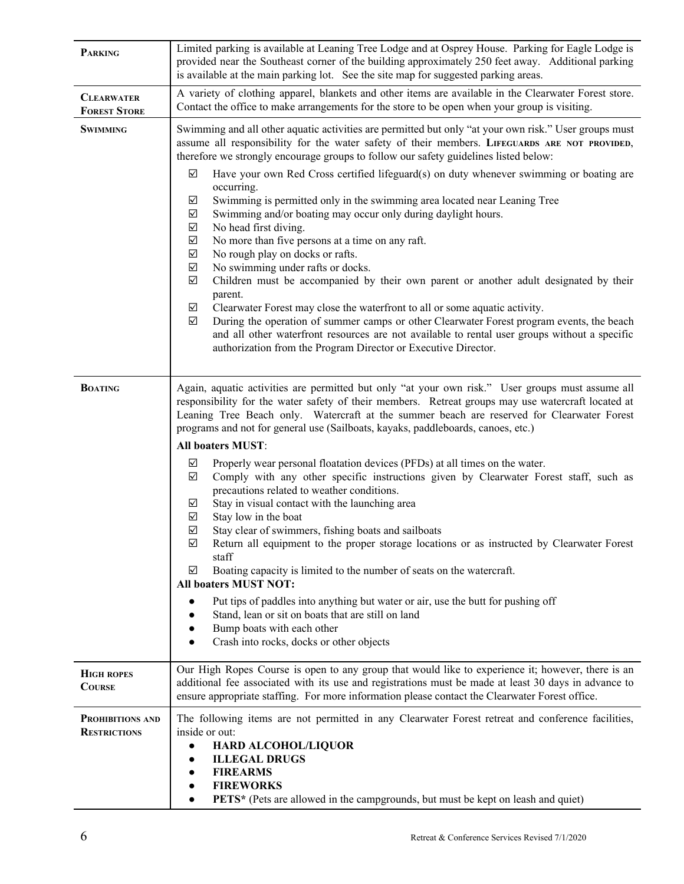| <b>PARKING</b>                           | Limited parking is available at Leaning Tree Lodge and at Osprey House. Parking for Eagle Lodge is<br>provided near the Southeast corner of the building approximately 250 feet away. Additional parking<br>is available at the main parking lot. See the site map for suggested parking areas.                                                                                                                                                                                                                                                                                                                                                                                                                                                                                                                                                                                                                                                                                                                                                                                                                                                                                                                                                                                                                                 |  |
|------------------------------------------|---------------------------------------------------------------------------------------------------------------------------------------------------------------------------------------------------------------------------------------------------------------------------------------------------------------------------------------------------------------------------------------------------------------------------------------------------------------------------------------------------------------------------------------------------------------------------------------------------------------------------------------------------------------------------------------------------------------------------------------------------------------------------------------------------------------------------------------------------------------------------------------------------------------------------------------------------------------------------------------------------------------------------------------------------------------------------------------------------------------------------------------------------------------------------------------------------------------------------------------------------------------------------------------------------------------------------------|--|
| <b>CLEARWATER</b><br><b>FOREST STORE</b> | A variety of clothing apparel, blankets and other items are available in the Clearwater Forest store.<br>Contact the office to make arrangements for the store to be open when your group is visiting.                                                                                                                                                                                                                                                                                                                                                                                                                                                                                                                                                                                                                                                                                                                                                                                                                                                                                                                                                                                                                                                                                                                          |  |
| <b>SWIMMING</b>                          | Swimming and all other aquatic activities are permitted but only "at your own risk." User groups must<br>assume all responsibility for the water safety of their members. LIFEGUARDS ARE NOT PROVIDED,<br>therefore we strongly encourage groups to follow our safety guidelines listed below:<br>Have your own Red Cross certified lifeguard(s) on duty whenever swimming or boating are<br>☑<br>occurring.<br>Swimming is permitted only in the swimming area located near Leaning Tree<br>☑<br>$\sqrt{}$<br>Swimming and/or boating may occur only during daylight hours.<br>$\checkmark$<br>No head first diving.<br>$\checkmark$<br>No more than five persons at a time on any raft.<br>$\checkmark$<br>No rough play on docks or rafts.<br>$\checkmark$<br>No swimming under rafts or docks.<br>$\blacktriangledown$<br>Children must be accompanied by their own parent or another adult designated by their<br>parent.<br>$\triangledown$<br>Clearwater Forest may close the waterfront to all or some aquatic activity.<br>$\sqrt{}$<br>During the operation of summer camps or other Clearwater Forest program events, the beach<br>and all other waterfront resources are not available to rental user groups without a specific<br>authorization from the Program Director or Executive Director.                   |  |
| <b>BOATING</b>                           | Again, aquatic activities are permitted but only "at your own risk." User groups must assume all<br>responsibility for the water safety of their members. Retreat groups may use watercraft located at<br>Leaning Tree Beach only. Watercraft at the summer beach are reserved for Clearwater Forest<br>programs and not for general use (Sailboats, kayaks, paddleboards, canoes, etc.)<br>All boaters MUST:<br>Properly wear personal floatation devices (PFDs) at all times on the water.<br>☑<br>$\sqrt{}$<br>Comply with any other specific instructions given by Clearwater Forest staff, such as<br>precautions related to weather conditions.<br>Stay in visual contact with the launching area<br>☑<br>$\blacktriangledown$<br>Stay low in the boat<br>$\triangledown$<br>Stay clear of swimmers, fishing boats and sailboats<br>$\color{red}\blacktriangledown$<br>Return all equipment to the proper storage locations or as instructed by Clearwater Forest<br>staff<br>Boating capacity is limited to the number of seats on the watercraft.<br>☑<br><b>All boaters MUST NOT:</b><br>Put tips of paddles into anything but water or air, use the butt for pushing off<br>$\bullet$<br>Stand, lean or sit on boats that are still on land<br>Bump boats with each other<br>Crash into rocks, docks or other objects |  |
| <b>HIGH ROPES</b><br><b>COURSE</b>       | Our High Ropes Course is open to any group that would like to experience it; however, there is an<br>additional fee associated with its use and registrations must be made at least 30 days in advance to<br>ensure appropriate staffing. For more information please contact the Clearwater Forest office.                                                                                                                                                                                                                                                                                                                                                                                                                                                                                                                                                                                                                                                                                                                                                                                                                                                                                                                                                                                                                     |  |
| PROHIBITIONS AND<br><b>RESTRICTIONS</b>  | The following items are not permitted in any Clearwater Forest retreat and conference facilities,<br>inside or out:<br>HARD ALCOHOL/LIQUOR<br>$\bullet$<br><b>ILLEGAL DRUGS</b><br><b>FIREARMS</b><br><b>FIREWORKS</b><br>PETS* (Pets are allowed in the campgrounds, but must be kept on leash and quiet)                                                                                                                                                                                                                                                                                                                                                                                                                                                                                                                                                                                                                                                                                                                                                                                                                                                                                                                                                                                                                      |  |